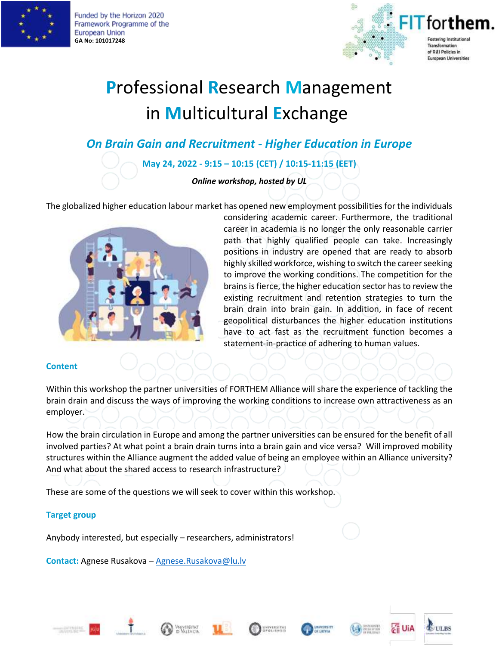

Funded by the Horizon 2020 Framework Programme of the European Union **GA No: 101017248**



# **P**rofessional **R**esearch **M**anagement in **M**ulticultural **E**xchange

*On Brain Gain and Recruitment - Higher Education in Europe*

# **May 24, 2022 - 9:15 – 10:15 (CET) / 10:15-11:15 (EET)**

### *Online workshop, hosted by UL*

The globalized higher education labour market has opened new employment possibilities for the individuals



considering academic career. Furthermore, the traditional career in academia is no longer the only reasonable carrier path that highly qualified people can take. Increasingly positions in industry are opened that are ready to absorb highly skilled workforce, wishing to switch the career seeking to improve the working conditions. The competition for the brains is fierce, the higher education sector has to review the existing recruitment and retention strategies to turn the brain drain into brain gain. In addition, in face of recent geopolitical disturbances the higher education institutions have to act fast as the recruitment function becomes a statement-in-practice of adhering to human values.

#### **Content**

Within this workshop the partner universities of FORTHEM Alliance will share the experience of tackling the brain drain and discuss the ways of improving the working conditions to increase own attractiveness as an employer.

How the brain circulation in Europe and among the partner universities can be ensured for the benefit of all involved parties? At what point a brain drain turns into a brain gain and vice versa? Will improved mobility structures within the Alliance augment the added value of being an employee within an Alliance university? And what about the shared access to research infrastructure?

These are some of the questions we will seek to cover within this workshop.

#### **Target group**

Anybody interested, but especially – researchers, administrators!

**Contact:** Agnese Rusakova – [Agnese.Rusakova@lu.lv](mailto:Agnese.Rusakova@lu.lv)











**ULBS**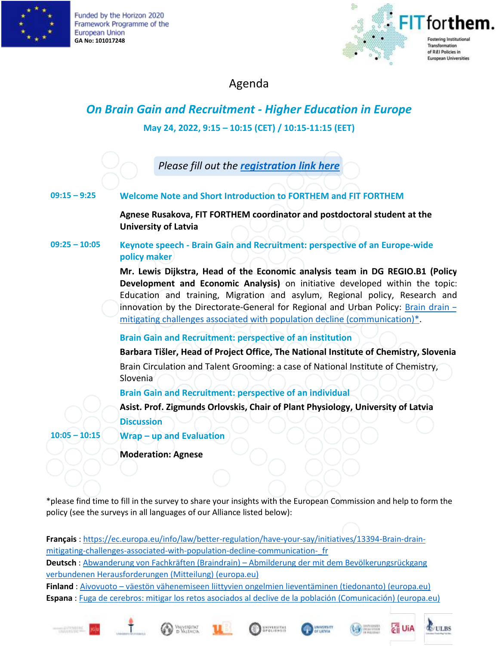

Funded by the Horizon 2020 Framework Programme of the European Union **GA No: 101017248**



Agenda

# *On Brain Gain and Recruitment - Higher Education in Europe* **May 24, 2022, 9:15 – 10:15 (CET) / 10:15-11:15 (EET)**

*Please fill out the [registration link here](https://forms.office.com/r/a1j9Q15fFf)*

## **09:15 – 9:25 Welcome Note and Short Introduction to FORTHEM and FIT FORTHEM**

**Agnese Rusakova, FIT FORTHEM coordinator and postdoctoral student at the University of Latvia**

**09:25 – 10:05 Keynote speech - Brain Gain and Recruitment: perspective of an Europe-wide policy maker**

> **Mr. Lewis Dijkstra, Head of the Economic analysis team in DG REGIO.B1 (Policy Development and Economic Analysis)** on initiative developed within the topic: Education and training, Migration and asylum, Regional policy, Research and innovation by the Directorate-General for Regional and Urban Policy: [Brain drain](https://ec.europa.eu/info/law/better-regulation/have-your-say/initiatives/13394-Brain-drain-mitigating-challenges-associated-with-population-decline-communication-_en) – [mitigating challenges associated with population decline \(communication\)\\*](https://ec.europa.eu/info/law/better-regulation/have-your-say/initiatives/13394-Brain-drain-mitigating-challenges-associated-with-population-decline-communication-_en).

**Brain Gain and Recruitment: perspective of an institution**

**Barbara Tišler, Head of Project Office, The National Institute of Chemistry, Slovenia** Brain Circulation and Talent Grooming: a case of National Institute of Chemistry, Slovenia

**Brain Gain and Recruitment: perspective of an individual**

**Asist. Prof. Zigmunds Orlovskis, Chair of Plant Physiology, University of Latvia Discussion**

**10:05 – 10:15 Wrap – up and Evaluation**

**Moderation: Agnese**

\*please find time to fill in the survey to share your insights with the European Commission and help to form the policy (see the surveys in all languages of our Alliance listed below):

**Français** : [https://ec.europa.eu/info/law/better-regulation/have-your-say/initiatives/13394-Brain-drain](https://ec.europa.eu/info/law/better-regulation/have-your-say/initiatives/13394-Brain-drain-mitigating-challenges-associated-with-population-decline-communication-_fr)[mitigating-challenges-associated-with-population-decline-communication-\\_fr](https://ec.europa.eu/info/law/better-regulation/have-your-say/initiatives/13394-Brain-drain-mitigating-challenges-associated-with-population-decline-communication-_fr) **Deutsch** : Abwanderung von Fachkräften (Braindrain) – Abmilderung der mit dem [Bevölkerungsrückgang](https://ec.europa.eu/info/law/better-regulation/have-your-say/initiatives/13394-Abwanderung-von-Fachkraften-Braindrain-Abmilderung-der-mit-dem-Bevolkerungsruckgang-verbundenen-Herausforderungen-Mitteilung-_de) verbundenen [Herausforderungen](https://ec.europa.eu/info/law/better-regulation/have-your-say/initiatives/13394-Abwanderung-von-Fachkraften-Braindrain-Abmilderung-der-mit-dem-Bevolkerungsruckgang-verbundenen-Herausforderungen-Mitteilung-_de) (Mitteilung) (europa.eu) **Finland** : Aivovuoto – väestön [vähenemiseen](https://ec.europa.eu/info/law/better-regulation/have-your-say/initiatives/13394-Aivovuoto-vaeston-vahenemiseen-liittyvien-ongelmien-lieventaminen-tiedonanto-_fi) liittyvien ongelmien lieventäminen (tiedonanto) (europa.eu) **Espana** : Fuga de cerebros: mitigar los retos asociados al declive de la población [\(Comunicación\)](https://ec.europa.eu/info/law/better-regulation/have-your-say/initiatives/13394-Fuga-de-cerebros-mitigar-los-retos-asociados-al-declive-de-la-poblacion-Comunicacion-_es) (europa.eu)